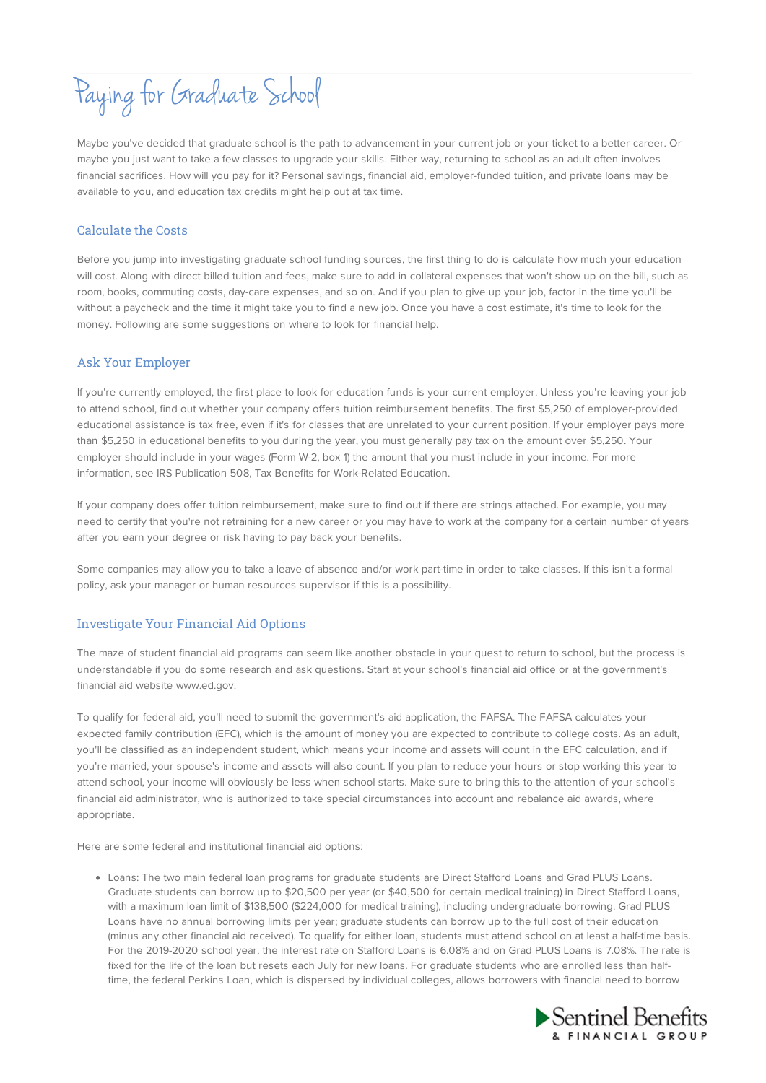# Paying for Graduate School

Maybe you've decided that graduate school is the path to advancement in your current job or your ticket to a better career. Or maybe you just want to take a few classes to upgrade your skills. Either way, returning to school as an adult often involves financial sacrifices. How will you pay for it? Personal savings, financial aid, employer-funded tuition, and private loans may be available to you, and education tax credits might help out at tax time.

#### Calculate the Costs

Before you jump into investigating graduate school funding sources, the first thing to do is calculate how much your education will cost. Along with direct billed tuition and fees, make sure to add in collateral expenses that won't show up on the bill, such as room, books, commuting costs, day-care expenses, and so on. And if you plan to give up your job, factor in the time you'll be without a paycheck and the time it might take you to find a new job. Once you have a cost estimate, it's time to look for the money. Following are some suggestions on where to look for financial help.

## Ask Your Employer

If you're currently employed, the first place to look for education funds is your current employer. Unless you're leaving your job to attend school, find out whether your company offers tuition reimbursement benefits. The first \$5,250 of employer-provided educational assistance is tax free, even if it's for classes that are unrelated to your current position. If your employer pays more than \$5,250 in educational benefits to you during the year, you must generally pay tax on the amount over \$5,250. Your employer should include in your wages (Form W-2, box 1) the amount that you must include in your income. For more information, see IRS Publication 508, Tax Benefits for Work-Related Education.

If your company does offer tuition reimbursement, make sure to find out if there are strings attached. For example, you may need to certify that you're not retraining for a new career or you may have to work at the company for a certain number of years after you earn your degree or risk having to pay back your benefits.

Some companies may allow you to take a leave of absence and/or work part-time in order to take classes. If this isn't a formal policy, ask your manager or human resources supervisor if this is a possibility.

# Investigate Your Financial Aid Options

The maze of student financial aid programs can seem like another obstacle in your quest to return to school, but the process is understandable if you do some research and ask questions. Start at your school's financial aid office or at the government's financial aid website www.ed.gov.

To qualify for federal aid, you'll need to submit the government's aid application, the FAFSA. The FAFSA calculates your expected family contribution (EFC), which is the amount of money you are expected to contribute to college costs. As an adult, you'll be classified as an independent student, which means your income and assets will count in the EFC calculation, and if you're married, your spouse's income and assets will also count. If you plan to reduce your hours or stop working this year to attend school, your income will obviously be less when school starts. Make sure to bring this to the attention of your school's financial aid administrator, who is authorized to take special circumstances into account and rebalance aid awards, where appropriate.

Here are some federal and institutional financial aid options:

Loans: The two main federal loan programs for graduate students are Direct Stafford Loans and Grad PLUS Loans. Graduate students can borrow up to \$20,500 per year (or \$40,500 for certain medical training) in Direct Stafford Loans, with a maximum loan limit of \$138,500 (\$224,000 for medical training), including undergraduate borrowing. Grad PLUS Loans have no annual borrowing limits per year; graduate students can borrow up to the full cost of their education (minus any other financial aid received). To qualify for either loan, students must attend school on at least a half-time basis. For the 2019-2020 school year, the interest rate on Stafford Loans is 6.08% and on Grad PLUS Loans is 7.08%. The rate is fixed for the life of the loan but resets each July for new loans. For graduate students who are enrolled less than halftime, the federal Perkins Loan, which is dispersed by individual colleges, allows borrowers with financial need to borrow

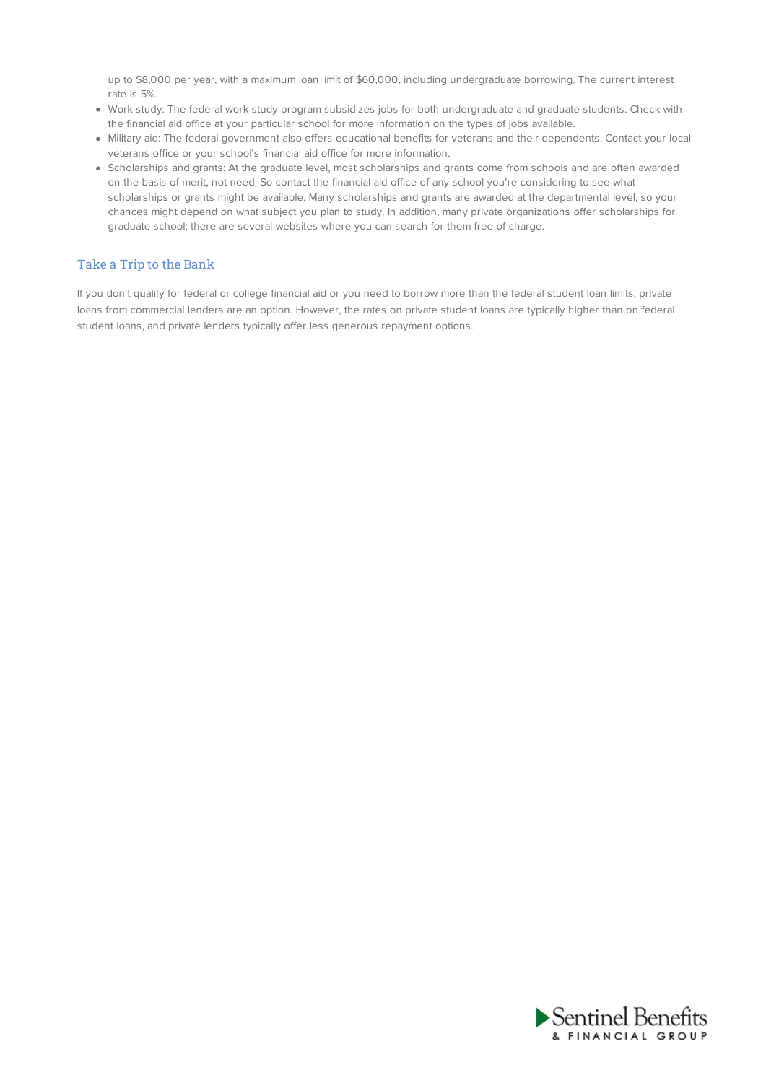up to \$8,000 per year, with a maximum loan limit of \$60,000, including undergraduate borrowing. The current interest rate is 5%.

- Work-study: The federal work-study program subsidizes jobs for both undergraduate and graduate students. Check with the financial aid office at your particular school for more information on the types of jobs available.
- Military aid: The federal government also offers educational benefits for veterans and their dependents. Contact your local veterans office or your school's financial aid office for more information.
- Scholarships and grants: At the graduate level, most scholarships and grants come from schools and are often awarded on the basis of merit, not need. So contact the financial aid office of any school you're considering to see what scholarships or grants might be available. Many scholarships and grants are awarded at the departmental level, so your chances might depend on what subject you plan to study. In addition, many private organizations offer scholarships for graduate school; there are several websites where you can search for them free of charge.

#### Take a Trip to the Bank

If you don't qualify for federal or college financial aid or you need to borrow more than the federal student loan limits, private loans from commercial lenders are an option. However, the rates on private student loans are typically higher than on federal student loans, and private lenders typically offer less generous repayment options.